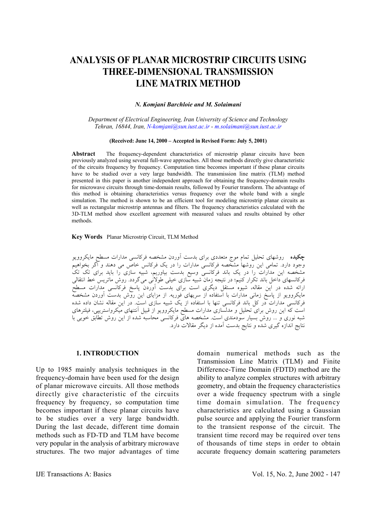# **ANALYSIS OF PLANAR MICROSTRIP CIRCUITS USING THREE-DIMENSIONAL TRANSMISSION LINE MATRIX METHOD**

*N. Komjani Barchloie and M. Solaimani*

*Department of Electrical Engineering, Iran University of Science and Technology Tehran, 16844, Iran, N-komjani@sun.iust.ac.ir - m.solaimani@sun.iust.ac.ir* 

### **(Received: June 14, 2000 – Accepted in Revised Form: July 5, 2001)**

**Abstract** The frequency-dependent characteristics of microstrip planar circuits have been previously analyzed using several full-wave approaches. All those methods directly give characteristic of the circuits frequency by frequency. Computation time becomes important if these planar circuits have to be studied over a very large bandwidth. The transmission line matrix (TLM) method presented in this paper is another independent approach for obtaining the frequency-domain results for microwave circuits through time-domain results, followed by Fourier transform. The advantage of this method is obtaining characteristics versus frequency over the whole band with a single simulation. The method is shown to be an efficient tool for modeling microstrip planar circuits as well as rectangular microstrip antennas and filters. The frequency characteristics calculated with the 3D-TLM method show excellent agreement with measured values and results obtained by other methods.

## **Key Words** Planar Microstrip Circuit, TLM Method

**چكيده** روشهاي تحليل تمام موج متعددي براي بدست آوردن مشخصه فركانسي مدارات مسطح مايكروويو وجود دارد. تمامي اين روشها مشخصه فركانسي مدارات را در يك فركانس خاص مي دهند و اگر بخواهيم مشخصه اين مدارات را در يك باند فركانسي وسيع بدست بياوريم، شبيه سازي را بايد براي تك تك فركانسهاي داخل باند تكرار كنيم؛ در نتيجه زمان شبيه سازي خيلي طولاني ميگردد. روش ماتريس خط انتقالي ارائه شده در اين مقاله، شيوه مستقل ديگري است براي بدست آوردن پاسخ فركانسي مدارات مسطح مايكروويو از پاسخ زماني مدارات با استفاده از سريهاي فوريه. از مزاياي اين روش بدست آوردن مشخصه فركانسي مدارات در كل باند فركانسي تنها با استفاده از يك شبيه سازي است. در اين مقاله نشان داده شده است كه اين روش براي تحليل و مدلسازي مدارات مسطح مايكروويو از قبيل آنتنهاي ميكرواستريپي، فيلترهاي شبه نوري و ... روش بسيار سودمندي است. مشخصه هاي فركانسي محاسبه شده از اين روش تطابق خوبي با نتايج اندازه گيري شده و نتايج بدست آمده از ديگر مقالات دارد.

# **1. INTRODUCTION**

Up to 1985 mainly analysis techniques in the frequency-domain have been used for the design of planar microwave circuits. All those methods directly give characteristic of the circuits frequency by frequency, so computation time becomes important if these planar circuits have to be studies over a very large bandwidth. During the last decade, different time domain methods such as FD-TD and TLM have become very popular in the analysis of arbitrary microwave structures. The two major advantages of time

domain numerical methods such as the Transmission Line Matrix (TLM) and Finite Difference-Time Domain (FDTD) method are the ability to analyze complex structures with arbitrary geometry, and obtain the frequency characteristics over a wide frequency spectrum with a single time domain simulation. The frequency characteristics are calculated using a Gaussian pulse source and applying the Fourier transform to the transient response of the circuit. The transient time record may be required over tens of thousands of time steps in order to obtain accurate frequency domain scattering parameters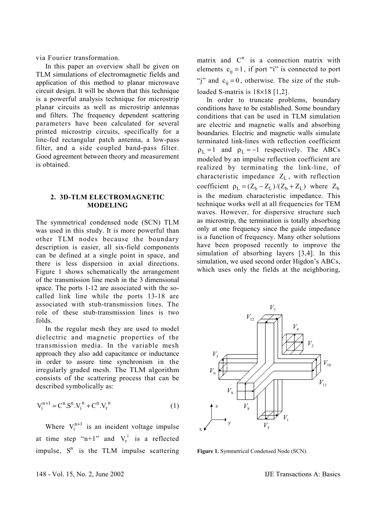via Fourier transformation.

 In this paper an overview shall be given on TLM simulations of electromagnetic fields and application of this method to planar microwave circuit design. It will be shown that this technique is a powerful analysis technique for microstrip planar circuits as well as microstrip antennas and filters. The frequency dependent scattering parameters have been calculated for several printed microstrip circuits, specifically for a line-fed rectangular patch antenna, a low-pass filter, and a side coupled band-pass filter. Good agreement between theory and measurement is obtained.

# **2. 3D-TLM ELECTROMAGNETIC MODELING**

The symmetrical condensed node (SCN) TLM was used in this study. It is more powerful than other TLM nodes because the boundary description is easier, all six-field components can be defined at a single point in space, and there is less dispersion in axial directions. Figure 1 shows schematically the arrangement of the transmission line mesh in the 3 dimensional space. The ports 1-12 are associated with the socalled link line while the ports 13-18 are associated with stub-transmission lines. The role of these stub-transmission lines is two folds.

 In the regular mesh they are used to model dielectric and magnetic properties of the transmission media. In the variable mesh approach they also add capacitance or inductance in order to assure time synchronism in the irregularly graded mesh. The TLM algorithm consists of the scattering process that can be described symbolically as:

$$
V_i^{n+1} = C^n S^n . V_i^n + C^n . V_r^n
$$
 (1)

Where  $V_i^{n+1}$  is an incident voltage impulse at time step "n+1" and  $V_r^i$  is a reflected impulse,  $S<sup>n</sup>$  is the TLM impulse scattering

matrix and  $C<sup>n</sup>$  is a connection matrix with elements  $c_{ii} = 1$ , if port "i" is connected to port "j" and  $c_{ii} = 0$ , otherwise. The size of the stubloaded S-matrix is  $18\times18$  [1,2].

 In order to truncate problems, boundary conditions have to be established. Some boundary conditions that can be used in TLM simulation are electric and magnetic walls and absorbing boundaries. Electric and magnetic walls simulate terminated link-lines with reflection coefficient  $\rho_{\text{I}} = 1$  and  $\rho_{\text{I}} = -1$  respectively. The ABCs modeled by an impulse reflection coefficient are realized by terminating the link-line, of characteristic impedance  $Z_{I}$ , with reflection coefficient  $\rho_L = (Z_b - Z_L)/(Z_b + Z_L)$  where  $Z_b$ is the medium characteristic impedance. This technique works well at all frequencies for TEM waves. However, for dispersive structure such as microstrip, the termination is totally absorbing only at one frequency since the guide impedance is a function of frequency. Many other solutions have been proposed recently to improve the simulation of absorbing layers [3,4]. In this simulation, we used second order Higdon's ABCs, which uses only the fields at the neighboring,



**Figure 1.** Symmetrical Condensed Node (SCN).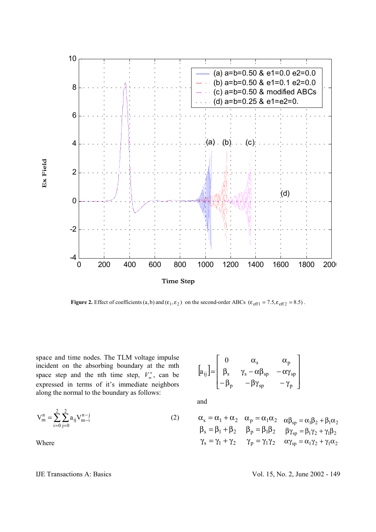

**Figure 2.** Effect of coefficients  $(a, b)$  and  $(\varepsilon_1, \varepsilon_2)$  on the second-order ABCs  $(\varepsilon_{\text{eff1}} = 7.5, \varepsilon_{\text{eff2}} = 8.5)$ .

space and time nodes. The TLM voltage impulse incident on the absorbing boundary at the mth space step and the nth time step,  $V_m^n$ , can be expressed in terms of it's immediate neighbors along the normal to the boundary as follows:

$$
V_m^n = \sum_{i=0}^2 \sum_{j=0}^2 a_{ij} V_{m-i}^{n-j}
$$
 (2)

Where

 $|a_{ii}|$  $\overline{\phantom{a}}$  $\overline{\phantom{a}}$  $\overline{\phantom{a}}$  $\overline{\phantom{a}}$  $\overline{\phantom{a}}$  $\mathsf{I}$  $\mathsf{I}$  $\mathsf{I}$ L  $\mathsf{I}$  $-\beta_{\rm p}$  −  $\beta \gamma_{\rm sn}$  −  $\gamma$  $\beta_s$  γ<sub>s</sub> - α $\beta_{sn}$  - αγ  $\alpha_{\rm s}$   $\alpha$ =  $p = Py_{sp} = \gamma_p$ s  $\gamma_s - \alpha p_{sp} - \alpha \gamma_{sp}$ s  $\alpha_p$ ij 0 a

and

$$
\begin{aligned}\n\alpha_s &= \alpha_1 + \alpha_2 & \alpha_p &= \alpha_1 \alpha_2 & \alpha \beta_{sp} &= \alpha_1 \beta_2 + \beta_1 \alpha_2 \\
\beta_s &= \beta_1 + \beta_2 & \beta_p &= \beta_1 \beta_2 & \beta \gamma_{sp} &= \beta_1 \gamma_2 + \gamma_1 \beta_2 \\
\gamma_s &= \gamma_1 + \gamma_2 & \gamma_p &= \gamma_1 \gamma_2 & \alpha \gamma_{sp} &= \alpha_1 \gamma_2 + \gamma_1 \alpha_2\n\end{aligned}
$$

IJE Transactions A: Basics Vol. 15, No. 2, June 2002 - 149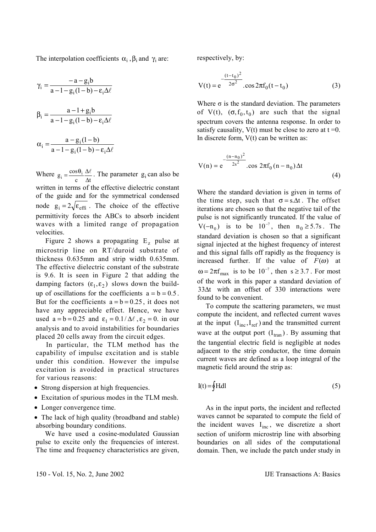The interpolation coefficients  $\alpha_i$ ,  $\beta_i$  and  $\gamma_i$  are:

$$
\gamma_i = \frac{-a - g_i b}{a - 1 - g_i (1 - b) - \varepsilon_i \Delta \ell}
$$

$$
\beta_i = \frac{a - 1 + g_i b}{a - 1 - g_i (1 - b) - \varepsilon_i \Delta \ell}
$$

$$
\alpha_i = \frac{a - g_i (1 - b)}{a - 1 - g_i (1 - b) - \varepsilon_i \Delta \ell}
$$

Where c  $\Delta t$  $g_i = \frac{\cos \theta_i}{c} \frac{\Delta \ell}{\Delta t}$ . The parameter  $g_i$  can also be written in terms of the effective dielectric constant of the guide and for the symmetrical condensed node  $g_i = 2\sqrt{\epsilon_{\text{eff}}}$ . The choice of the effective permittivity forces the ABCs to absorb incident waves with a limited range of propagation velocities.

Figure 2 shows a propagating  $E_z$  pulse at microstrip line on RT/duroid substrate of thickness 0.635mm and strip width 0.635mm. The effective dielectric constant of the substrate is 9.6. It is seen in Figure 2 that adding the damping factors  $(\varepsilon_1, \varepsilon_2)$  slows down the buildup of oscillations for the coefficients  $a = b = 0.5$ . But for the coefficients  $a = b = 0.25$ , it does not have any appreciable effect. Hence, we have used  $a = b = 0.25$  and  $\varepsilon_1 = 0.1/\Delta\ell$ ,  $\varepsilon_2 = 0$ . in our analysis and to avoid instabilities for boundaries placed 20 cells away from the circuit edges.

 In particular, the TLM method has the capability of impulse excitation and is stable under this condition. However the impulse excitation is avoided in practical structures for various reasons:

- Strong dispersion at high frequencies.
- Excitation of spurious modes in the TLM mesh.
- Longer convergence time.
- The lack of high quality (broadband and stable) absorbing boundary conditions.

 We have used a cosine-modulated Gaussian pulse to excite only the frequencies of interest. The time and frequency characteristics are given, respectively, by:

$$
V(t) = e^{-\frac{(t-t_0)^2}{2\sigma^2}} \cdot \cos 2\pi f_0(t-t_0)
$$
 (3)

Where  $\sigma$  is the standard deviation. The parameters of V(t),  $(\sigma, f_0, t_0)$  are such that the signal spectrum covers the antenna response. In order to satisfy causality,  $V(t)$  must be close to zero at  $t = 0$ . In discrete form,  $V(t)$  can be written as:

$$
V(n) = e^{-\frac{(n-n_0)^2}{2s^2}} \cdot \cos 2\pi f_0 (n-n_0) \Delta t
$$
 (4)

Where the standard deviation is given in terms of the time step, such that  $\sigma = s.\Delta t$ . The offset iterations are chosen so that the negative tail of the pulse is not significantly truncated. If the value of  $V(-n_0)$  is to be  $10^{-7}$ , then  $n_0 \ge 5.7$ s. The standard deviation is chosen so that a significant signal injected at the highest frequency of interest and this signal falls off rapidly as the frequency is increased further. If the value of  $F(\omega)$  at  $\omega = 2\pi f_{\text{max}}$  is to be  $10^{-7}$ , then s ≥ 3.7. For most of the work in this paper a standard deviation of 33∆t with an offset of 330 interactions were found to be convenient.

 To compute the scattering parameters, we must compute the incident, and reflected current waves at the input  $(I_{inc}, I_{ref})$  and the transmitted current wave at the output port  $(I<sub>tran</sub>)$ . By assuming that the tangential electric field is negligible at nodes adjacent to the strip conductor, the time domain current waves are defined as a loop integral of the magnetic field around the strip as:

$$
I(t) = \oint H dl
$$
 (5)

 As in the input ports, the incident and reflected waves cannot be separated to compute the field of the incident waves  $I_{inc}$ , we discretize a short section of uniform microstrip line with absorbing boundaries on all sides of the computational domain. Then, we include the patch under study in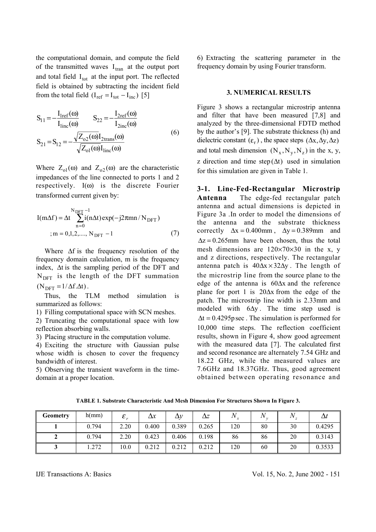the computational domain, and compute the field of the transmitted waves  $I_{tran}$  at the output port and total field  $I_{\text{tot}}$  at the input port. The reflected field is obtained by subtracting the incident field from the total field  $(I_{ref} = I_{tot} - I_{inc})$  [5]

$$
S_{11} = -\frac{I_{1ref}(\omega)}{I_{1inc}(\omega)} \qquad S_{22} = -\frac{I_{2ref}(\omega)}{I_{2inc}(\omega)}
$$
  

$$
S_{21} = S_{12} = -\frac{\sqrt{Z_{o2}(\omega)}I_{2trans}(\omega)}{\sqrt{Z_{o1}(\omega)}I_{1inc}(\omega)}
$$
(6)

Where  $Z_{01}(\omega)$  and  $Z_{02}(\omega)$  are the characteristic impedances of the line connected to ports 1 and 2 respectively.  $I(\omega)$  is the discrete Fourier transformed current given by:

$$
I(m\Delta f) = \Delta t \sum_{n=0}^{N_{DFT}-1} i(n\Delta t) \exp(-j2\pi mn / N_{DFT})
$$
  
;*m* = 0,1,2,..., N\_{DFT}-1 (7)

Where  $\Delta f$  is the frequency resolution of the frequency domain calculation, m is the frequency index, ∆t is the sampling period of the DFT and  $N<sub>DET</sub>$  is the length of the DFT summation  $(N_{\text{DFT}} = 1/\Delta f \Delta t)$ .

 Thus, the TLM method simulation is summarized as follows:

1) Filling computational space with SCN meshes.

2) Truncating the computational space with low reflection absorbing walls.

3) Placing structure in the computation volume.

4) Exciting the structure with Gaussian pulse whose width is chosen to cover the frequency bandwidth of interest.

5) Observing the transient waveform in the timedomain at a proper location.

6) Extracting the scattering parameter in the frequency domain by using Fourier transform.

# **3. NUMERICAL RESULTS**

Figure 3 shows a rectangular microstrip antenna and filter that have been measured [7,8] and analyzed by the three-dimensional FDTD method by the author's [9]. The substrate thickness (h) and dielectric constant  $(\varepsilon_r)$ , the space steps  $(\Delta x, \Delta y, \Delta z)$ and total mesh dimension  $(N_x, N_y, N_z)$  in the x, y, z direction and time step  $(\Delta t)$  used in simulation for this simulation are given in Table 1.

**3-1. Line-Fed-Rectangular Microstrip Antenna** The edge-fed rectangular patch antenna and actual dimensions is depicted in Figure 3a .In order to model the dimensions of the antenna and the substrate thickness correctly  $\Delta x = 0.400$  mm,  $\Delta y = 0.389$  mm and  $\Delta z = 0.265$ mm have been chosen, thus the total mesh dimensions are  $120\times70\times30$  in the x, y and z directions, respectively. The rectangular antenna patch is  $40\Delta x \times 32\Delta y$ . The length of the microstrip line from the source plane to the edge of the antenna is 60∆x and the reference plane for port 1 is 20∆x from the edge of the patch. The microstrip line width is 2.33mm and modeled with  $6\Delta y$ . The time step used is  $\Delta t = 0.4295p \sec$ . The simulation is performed for 10,000 time steps. The reflection coefficient results, shown in Figure 4, show good agreement with the measured data [7]. The calculated first and second resonance are alternately 7.54 GHz and 18.22 GHz, while the measured values are 7.6GHz and 18.37GHz. Thus, good agreement obtained between operating resonance and

**TABLE 1. Substrate Characteristic And Mesh Dimension For Structures Shown In Figure 3.** 

| <b>Geometry</b> | h(mm) | $\mathcal{E}_x$ | $\Delta x$ | $\Delta v$ | Δz    |     |    |    |        |
|-----------------|-------|-----------------|------------|------------|-------|-----|----|----|--------|
|                 | 0.794 | 2.20            | 0.400      | 0.389      | 0.265 | 120 | 80 | 30 | 0.4295 |
|                 | 0.794 | 2.20            | 0.423      | 0.406      | 0.198 | 86  | 86 | 20 | 0.3143 |
|                 | .272  | 10.0            | 0.212      | 0.212      | 0.212 | 120 | 60 | 20 | 0.3533 |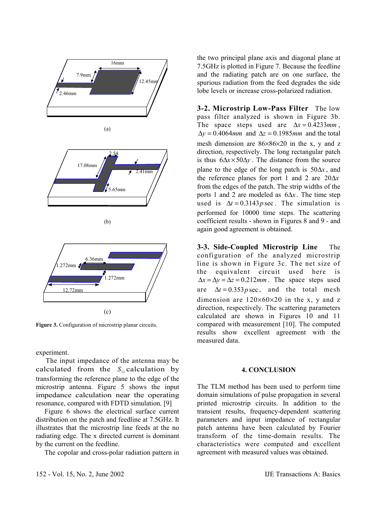

(c)

Figure 3. Configuration of microstrip planar circuits.

experiment.

 The input impedance of the antenna may be calculated from the  $S_{11}$  calculation by transforming the reference plane to the edge of the microstrip antenna. Figure 5 shows the input impedance calculation near the operating resonance, compared with FDTD simulation. [9]

 Figure 6 shows the electrical surface current distribution on the patch and feedline at 7.5GHz. It illustrates that the microstrip line feeds at the no radiating edge. The x directed current is dominant by the current on the feedline.

The copolar and cross-polar radiation pattern in

152 - Vol. 15, No. 2, June 2002 IJE Transactions A: Basics

the two principal plane axis and diagonal plane at 7.5GHz is plotted in Figure 7. Because the feedline and the radiating patch are on one surface, the spurious radiation from the feed degrades the side lobe levels or increase cross-polarized radiation.

**3-2. Microstrip Low-Pass Filter** The low pass filter analyzed is shown in Figure 3b. The space steps used are ∆*x* = 0.4233*mm* , ∆*y* = 0.4064*mm* and ∆*z* = 0.1985*mm* and the total mesh dimension are 86×86×20 in the x, y and z direction, respectively. The long rectangular patch is thus  $6\Delta x \times 50\Delta y$ . The distance from the source plane to the edge of the long patch is 50∆*x* , and the reference planes for port 1 and 2 are 20∆*x* from the edges of the patch. The strip widths of the ports 1 and 2 are modeled as 6∆*x* . The time step used is  $\Delta t = 0.3143p$  sec. The simulation is performed for 10000 time steps. The scattering coefficient results - shown in Figures 8 and 9 - and again good agreement is obtained.

**3-3. Side-Coupled Microstrip Line** The configuration of the analyzed microstrip line is shown in Figure 3c. The net size of the equivalent circuit used here is  $\Delta x = \Delta y = \Delta z = 0.212$ *mm*. The space steps used are  $\Delta t = 0.353 p \sec$ , and the total mesh dimension are  $120\times60\times20$  in the x, y and z direction, respectively. The scattering parameters calculated are shown in Figures 10 and 11 compared with measurement [10]. The computed results show excellent agreement with the measured data.

# **4. CONCLUSION**

The TLM method has been used to perform time domain simulations of pulse propagation in several printed microstrip circuits. In addition to the transient results, frequency-dependent scattering parameters and input impedance of rectangular patch antenna have been calculated by Fourier transform of the time-domain results. The characteristics were computed and excellent agreement with measured values was obtained.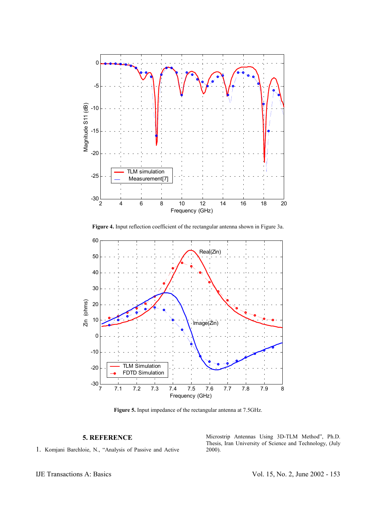

**Figure 4.** Input reflection coefficient of the rectangular antenna shown in Figure 3a.



**Figure 5.** Input impedance of the rectangular antenna at 7.5GHz.

# **5. REFERENCE**

1. Komjani Barchloie, N., "Analysis of Passive and Active

Microstrip Antennas Using 3D-TLM Method", Ph.D. Thesis, Iran University of Science and Technology, (July 2000).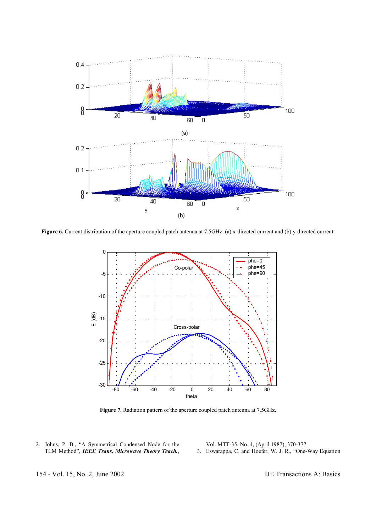

**Figure 6.** Current distribution of the aperture coupled patch antenna at 7.5GHz. (a) x-directed current and (b) y-directed current.



**Figure 7.** Radiation pattern of the aperture coupled patch antenna at 7.5GHz.

2. Johns, P. B., "A Symmetrical Condensed Node for the TLM Method", *IEEE Trans. Microwave Theory Teach.*,

Vol. MTT-35, No. 4, (April 1987), 370-377. 3. Eswarappa, C. and Hoefer, W. J. R., "One-Way Equation

154 - Vol. 15, No. 2, June 2002 IJE Transactions A: Basics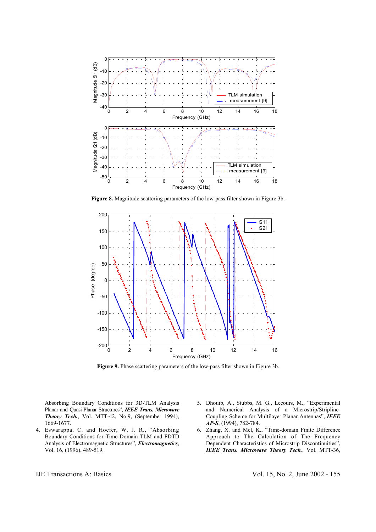

**Figure 8.** Magnitude scattering parameters of the low-pass filter shown in Figure 3b.



**Figure 9.** Phase scattering parameters of the low-pass filter shown in Figure 3b.

Absorbing Boundary Conditions for 3D-TLM Analysis Planar and Quasi-Planar Structures", *IEEE Trans. Microwave Theory Tech.*, Vol. MTT-42, No.9, (September 1994), 1669-1677.

- 4. Eswarappa, C. and Hoefer, W. J. R., "Absorbing Boundary Conditions for Time Domain TLM and FDTD Analysis of Electromagnetic Structures", *Electromagnetics*, Vol. 16, (1996), 489-519.
- 5. Dhouib, A., Stubbs, M. G., Lecours, M., "Experimental and Numerical Analysis of a Microstrip/Stripline-Coupling Scheme for Multilayer Planar Antennas", *IEEE AP-S*, (1994), 782-784.
- 6. Zhang, X. and Mel, K., "Time-domain Finite Difference Approach to The Calculation of The Frequency Dependent Characteristics of Microstrip Discontinuities", *IEEE Trans. Microwave Theory Tech.*, Vol. MTT-36,